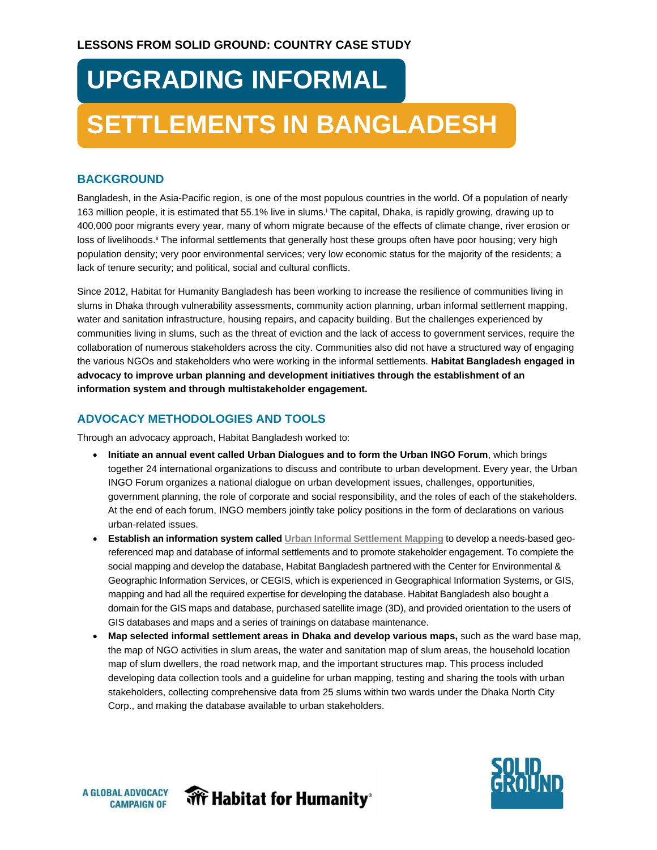# **UPGRADING INFORMAL**

## **SETTLEMENTS IN BANGLADESH**

#### **BACKGROUND**

Bangladesh, in the Asia-Pacific region, is one of the most populous countries in the world. Of a population of nearly 163 million people, it is estimated that 55.1% live in slums. The capital, Dhaka, is rapidly growing, drawing up to 400,000 poor migrants every year, many of whom migrate because of the effects of climate change, river erosion or loss of livelihoods.<sup>ii</sup> The informal settlements that generally host these groups often have poor housing; very high population density; very poor environmental services; very low economic status for the majority of the residents; a lack of tenure security; and political, social and cultural conflicts.

Since 2012, Habitat for Humanity Bangladesh has been working to increase the resilience of communities living in slums in Dhaka through vulnerability assessments, community action planning, urban informal settlement mapping, water and sanitation infrastructure, housing repairs, and capacity building. But the challenges experienced by communities living in slums, such as the threat of eviction and the lack of access to government services, require the collaboration of numerous stakeholders across the city. Communities also did not have a structured way of engaging the various NGOs and stakeholders who were working in the informal settlements. **Habitat Bangladesh engaged in advocacy to improve urban planning and development initiatives through the establishment of an information system and through multistakeholder engagement.**

### **ADVOCACY METHODOLOGIES AND TOOLS**

Through an advocacy approach, Habitat Bangladesh worked to:

- **Initiate an annual event called Urban Dialogues and to form the Urban INGO Forum**, which brings together 24 international organizations to discuss and contribute to urban development. Every year, the Urban INGO Forum organizes a national dialogue on urban development issues, challenges, opportunities, government planning, the role of corporate and social responsibility, and the roles of each of the stakeholders. At the end of each forum, INGO members jointly take policy positions in the form of declarations on various urban-related issues.
- **Establish an information system called [Urban Informal Settlement Mapping](http://www.dnccgismap.com/Dashboard)** to develop a needs-based georeferenced map and database of informal settlements and to promote stakeholder engagement. To complete the social mapping and develop the database, Habitat Bangladesh partnered with the Center for Environmental & Geographic Information Services, or CEGIS, which is experienced in Geographical Information Systems, or GIS, mapping and had all the required expertise for developing the database. Habitat Bangladesh also bought a domain for the GIS maps and database, purchased satellite image (3D), and provided orientation to the users of GIS databases and maps and a series of trainings on database maintenance.
- **Map selected informal settlement areas in Dhaka and develop various maps,** such as the ward base map, the map of NGO activities in slum areas, the water and sanitation map of slum areas, the household location map of slum dwellers, the road network map, and the important structures map. This process included developing data collection tools and a guideline for urban mapping, testing and sharing the tools with urban stakeholders, collecting comprehensive data from 25 slums within two wards under the Dhaka North City Corp., and making the database available to urban stakeholders.





**WFF** Habitat for Humanity<sup>®</sup>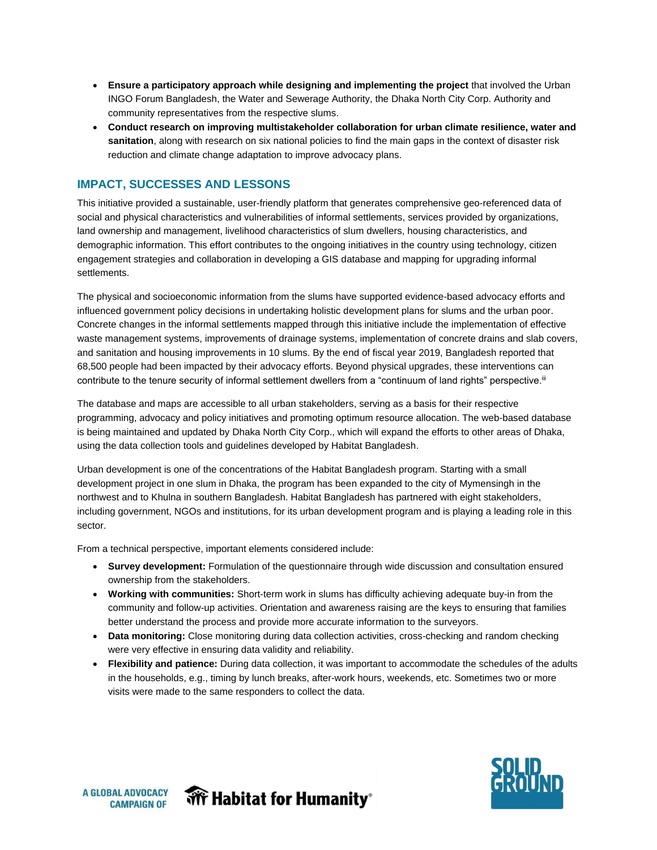- **Ensure a participatory approach while designing and implementing the project** that involved the Urban INGO Forum Bangladesh, the Water and Sewerage Authority, the Dhaka North City Corp. Authority and community representatives from the respective slums.
- **Conduct research on improving multistakeholder collaboration for urban climate resilience, water and sanitation**, along with research on six national policies to find the main gaps in the context of disaster risk reduction and climate change adaptation to improve advocacy plans.

#### **IMPACT, SUCCESSES AND LESSONS**

This initiative provided a sustainable, user-friendly platform that generates comprehensive geo-referenced data of social and physical characteristics and vulnerabilities of informal settlements, services provided by organizations, land ownership and management, livelihood characteristics of slum dwellers, housing characteristics, and demographic information. This effort contributes to the ongoing initiatives in the country using technology, citizen engagement strategies and collaboration in developing a GIS database and mapping for upgrading informal settlements.

The physical and socioeconomic information from the slums have supported evidence-based advocacy efforts and influenced government policy decisions in undertaking holistic development plans for slums and the urban poor. Concrete changes in the informal settlements mapped through this initiative include the implementation of effective waste management systems, improvements of drainage systems, implementation of concrete drains and slab covers, and sanitation and housing improvements in 10 slums. By the end of fiscal year 2019, Bangladesh reported that 68,500 people had been impacted by their advocacy efforts. Beyond physical upgrades, these interventions can contribute to the tenure security of informal settlement dwellers from a "continuum of land rights" perspective.<sup>iii</sup>

The database and maps are accessible to all urban stakeholders, serving as a basis for their respective programming, advocacy and policy initiatives and promoting optimum resource allocation. The web-based database is being maintained and updated by Dhaka North City Corp., which will expand the efforts to other areas of Dhaka, using the data collection tools and guidelines developed by Habitat Bangladesh.

Urban development is one of the concentrations of the Habitat Bangladesh program. Starting with a small development project in one slum in Dhaka, the program has been expanded to the city of Mymensingh in the northwest and to Khulna in southern Bangladesh. Habitat Bangladesh has partnered with eight stakeholders, including government, NGOs and institutions, for its urban development program and is playing a leading role in this sector.

From a technical perspective, important elements considered include:

- **Survey development:** Formulation of the questionnaire through wide discussion and consultation ensured ownership from the stakeholders.
- **Working with communities:** Short-term work in slums has difficulty achieving adequate buy-in from the community and follow-up activities. Orientation and awareness raising are the keys to ensuring that families better understand the process and provide more accurate information to the surveyors.
- **Data monitoring:** Close monitoring during data collection activities, cross-checking and random checking were very effective in ensuring data validity and reliability.
- **Flexibility and patience:** During data collection, it was important to accommodate the schedules of the adults in the households, e.g., timing by lunch breaks, after-work hours, weekends, etc. Sometimes two or more visits were made to the same responders to collect the data.





**WFF** Habitat for Humanity<sup>®</sup>